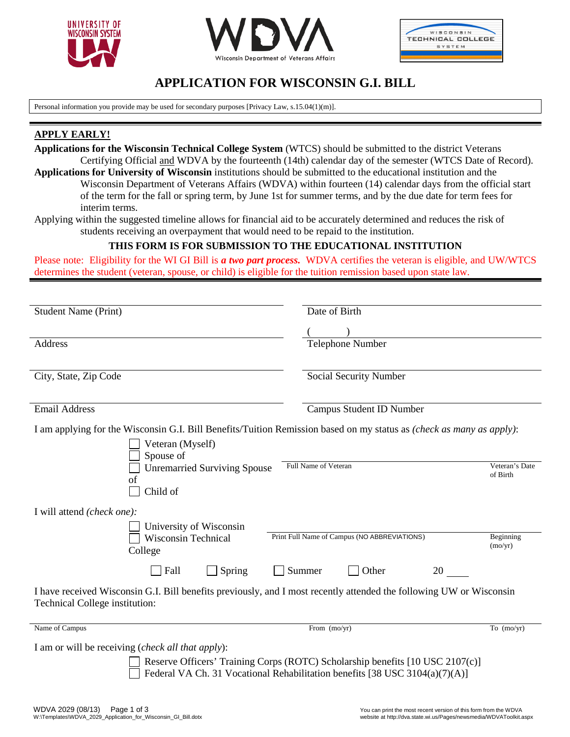





# **APPLICATION FOR WISCONSIN G.I. BILL**

Personal information you provide may be used for secondary purposes [Privacy Law, s.15.04(1)(m)].

### **APPLY EARLY!**

- **Applications for the Wisconsin Technical College System** (WTCS) should be submitted to the district Veterans Certifying Official and WDVA by the fourteenth (14th) calendar day of the semester (WTCS Date of Record). **Applications for University of Wisconsin** institutions should be submitted to the educational institution and the
	- Wisconsin Department of Veterans Affairs (WDVA) within fourteen (14) calendar days from the official start of the term for the fall or spring term, by June 1st for summer terms, and by the due date for term fees for interim terms.
- Applying within the suggested timeline allows for financial aid to be accurately determined and reduces the risk of students receiving an overpayment that would need to be repaid to the institution.

### **THIS FORM IS FOR SUBMISSION TO THE EDUCATIONAL INSTITUTION**

Please note: Eligibility for the WI GI Bill is *a two part process.* WDVA certifies the veteran is eligible, and UW/WTCS determines the student (veteran, spouse, or child) is eligible for the tuition remission based upon state law.

| <b>Student Name (Print)</b>                                                                                                                           | Date of Birth                                                                                                                                                |                |
|-------------------------------------------------------------------------------------------------------------------------------------------------------|--------------------------------------------------------------------------------------------------------------------------------------------------------------|----------------|
|                                                                                                                                                       |                                                                                                                                                              |                |
| Address                                                                                                                                               | <b>Telephone Number</b>                                                                                                                                      |                |
| City, State, Zip Code                                                                                                                                 | Social Security Number                                                                                                                                       |                |
| <b>Email Address</b>                                                                                                                                  | <b>Campus Student ID Number</b>                                                                                                                              |                |
| I am applying for the Wisconsin G.I. Bill Benefits/Tuition Remission based on my status as (check as many as apply):                                  |                                                                                                                                                              |                |
| Veteran (Myself)<br>Spouse of                                                                                                                         |                                                                                                                                                              |                |
| <b>Unremarried Surviving Spouse</b><br>of<br>Child of                                                                                                 | Full Name of Veteran<br>of Birth                                                                                                                             | Veteran's Date |
| I will attend (check one):                                                                                                                            |                                                                                                                                                              |                |
| University of Wisconsin<br><b>Wisconsin Technical</b><br>College                                                                                      | Print Full Name of Campus (NO ABBREVIATIONS)<br>(mo/yr)                                                                                                      | Beginning      |
| Fall<br>Spring                                                                                                                                        | Summer<br>Other<br>20                                                                                                                                        |                |
| I have received Wisconsin G.I. Bill benefits previously, and I most recently attended the following UW or Wisconsin<br>Technical College institution: |                                                                                                                                                              |                |
| Name of Campus                                                                                                                                        | From (mo/yr)                                                                                                                                                 | To $(mo/yr)$   |
| I am or will be receiving (check all that apply):                                                                                                     | Reserve Officers' Training Corps (ROTC) Scholarship benefits [10 USC 2107(c)]<br>Federal VA Ch. 31 Vocational Rehabilitation benefits [38 USC 3104(a)(7)(A)] |                |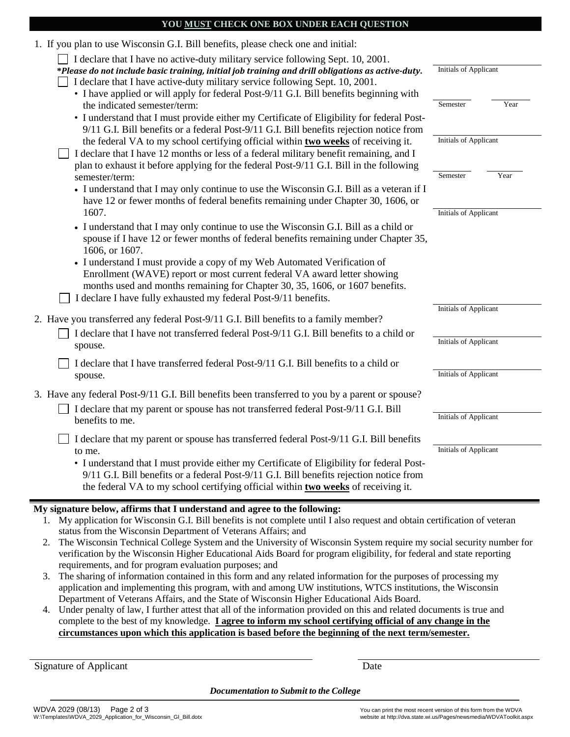#### **YOU MUST CHECK ONE BOX UNDER EACH QUESTION**

| 1. If you plan to use Wisconsin G.I. Bill benefits, please check one and initial:                                                                                                                                                                                                                                                                              |                              |                              |
|----------------------------------------------------------------------------------------------------------------------------------------------------------------------------------------------------------------------------------------------------------------------------------------------------------------------------------------------------------------|------------------------------|------------------------------|
| I declare that I have no active-duty military service following Sept. 10, 2001.<br>*Please do not include basic training, initial job training and drill obligations as active-duty.<br>I declare that I have active-duty military service following Sept. 10, 2001.<br>• I have applied or will apply for federal Post-9/11 G.I. Bill benefits beginning with | <b>Initials of Applicant</b> |                              |
| the indicated semester/term:<br>• I understand that I must provide either my Certificate of Eligibility for federal Post-<br>9/11 G.I. Bill benefits or a federal Post-9/11 G.I. Bill benefits rejection notice from                                                                                                                                           | Semester                     | Year                         |
| the federal VA to my school certifying official within two weeks of receiving it.<br>I declare that I have 12 months or less of a federal military benefit remaining, and I<br>plan to exhaust it before applying for the federal Post-9/11 G.I. Bill in the following                                                                                         |                              | <b>Initials of Applicant</b> |
| semester/term:<br>• I understand that I may only continue to use the Wisconsin G.I. Bill as a veteran if I<br>have 12 or fewer months of federal benefits remaining under Chapter 30, 1606, or                                                                                                                                                                 | Semester                     | Year                         |
| 1607.<br>• I understand that I may only continue to use the Wisconsin G.I. Bill as a child or<br>spouse if I have 12 or fewer months of federal benefits remaining under Chapter 35,<br>1606, or 1607.                                                                                                                                                         | <b>Initials of Applicant</b> |                              |
| • I understand I must provide a copy of my Web Automated Verification of<br>Enrollment (WAVE) report or most current federal VA award letter showing<br>months used and months remaining for Chapter 30, 35, 1606, or 1607 benefits.<br>I declare I have fully exhausted my federal Post-9/11 benefits.                                                        |                              |                              |
| 2. Have you transferred any federal Post-9/11 G.I. Bill benefits to a family member?                                                                                                                                                                                                                                                                           | <b>Initials of Applicant</b> |                              |
| I declare that I have not transferred federal Post-9/11 G.I. Bill benefits to a child or<br>spouse.                                                                                                                                                                                                                                                            |                              | <b>Initials of Applicant</b> |
| I declare that I have transferred federal Post-9/11 G.I. Bill benefits to a child or<br>spouse.                                                                                                                                                                                                                                                                |                              | <b>Initials of Applicant</b> |
| 3. Have any federal Post-9/11 G.I. Bill benefits been transferred to you by a parent or spouse?<br>I declare that my parent or spouse has not transferred federal Post-9/11 G.I. Bill<br>benefits to me.                                                                                                                                                       | <b>Initials of Applicant</b> |                              |
| I declare that my parent or spouse has transferred federal Post-9/11 G.I. Bill benefits<br>to me.<br>• I understand that I must provide either my Certificate of Eligibility for federal Post-<br>9/11 G.I. Bill benefits or a federal Post-9/11 G.I. Bill benefits rejection notice from                                                                      | <b>Initials of Applicant</b> |                              |
| the federal VA to my school certifying official within two weeks of receiving it.<br>ee*<br>6.11                                                                                                                                                                                                                                                               |                              |                              |

#### **My signature below, affirms that I understand and agree to the following:**

- 1. My application for Wisconsin G.I. Bill benefits is not complete until I also request and obtain certification of veteran status from the Wisconsin Department of Veterans Affairs; and
- 2. The Wisconsin Technical College System and the University of Wisconsin System require my social security number for verification by the Wisconsin Higher Educational Aids Board for program eligibility, for federal and state reporting requirements, and for program evaluation purposes; and
- 3. The sharing of information contained in this form and any related information for the purposes of processing my application and implementing this program, with and among UW institutions, WTCS institutions, the Wisconsin Department of Veterans Affairs, and the State of Wisconsin Higher Educational Aids Board.
- 4. Under penalty of law, I further attest that all of the information provided on this and related documents is true and complete to the best of my knowledge. **I agree to inform my school certifying official of any change in the circumstances upon which this application is based before the beginning of the next term/semester.**

Signature of Applicant Date

*Documentation to Submit to the College*